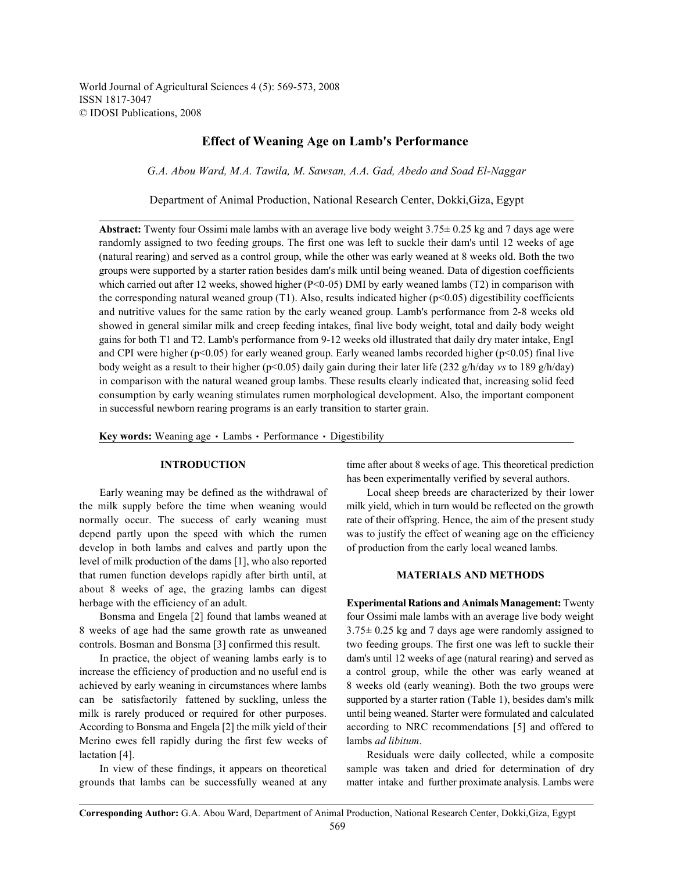World Journal of Agricultural Sciences 4 (5): 569-573, 2008 ISSN 1817-3047 © IDOSI Publications, 2008

# **Effect of Weaning Age on Lamb's Performance**

*G.A. Abou Ward, M.A. Tawila, M. Sawsan, A.A. Gad, Abedo and Soad El-Naggar*

Department of Animal Production, National Research Center, Dokki,Giza, Egypt

**Abstract:** Twenty four Ossimi male lambs with an average live body weight 3.75± 0.25 kg and 7 days age were randomly assigned to two feeding groups. The first one was left to suckle their dam's until 12 weeks of age (natural rearing) and served as a control group, while the other was early weaned at 8 weeks old. Both the two groups were supported by a starter ration besides dam's milk until being weaned. Data of digestion coefficients which carried out after 12 weeks, showed higher ( $P<0-05$ ) DMI by early weaned lambs (T2) in comparison with the corresponding natural weaned group (T1). Also, results indicated higher ( $p<0.05$ ) digestibility coefficients and nutritive values for the same ration by the early weaned group. Lamb's performance from 2-8 weeks old showed in general similar milk and creep feeding intakes, final live body weight, total and daily body weight gains for both T1 and T2. Lamb's performance from 9-12 weeks old illustrated that daily dry mater intake, EngI and CPI were higher ( $p<0.05$ ) for early weaned group. Early weaned lambs recorded higher ( $p<0.05$ ) final live body weight as a result to their higher (p<0.05) daily gain during their later life (232 g/h/day *vs* to 189 g/h/day) in comparison with the natural weaned group lambs. These results clearly indicated that, increasing solid feed consumption by early weaning stimulates rumen morphological development. Also, the important component in successful newborn rearing programs is an early transition to starter grain.

Key words: Weaning age  $\cdot$  Lambs  $\cdot$  Performance  $\cdot$  Digestibility

Early weaning may be defined as the withdrawal of Local sheep breeds are characterized by their lower the milk supply before the time when weaning would milk yield, which in turn would be reflected on the growth normally occur. The success of early weaning must rate of their offspring. Hence, the aim of the present study depend partly upon the speed with which the rumen was to justify the effect of weaning age on the efficiency develop in both lambs and calves and partly upon the of production from the early local weaned lambs. level of milk production of the dams [1], who also reported that rumen function develops rapidly after birth until, at **MATERIALS AND METHODS** about 8 weeks of age, the grazing lambs can digest herbage with the efficiency of an adult. **Experimental Rations and Animals Management:** Twenty

increase the efficiency of production and no useful end is a control group, while the other was early weaned at achieved by early weaning in circumstances where lambs 8 weeks old (early weaning). Both the two groups were can be satisfactorily fattened by suckling, unless the supported by a starter ration (Table 1), besides dam's milk milk is rarely produced or required for other purposes. until being weaned. Starter were formulated and calculated According to Bonsma and Engela [2] the milk yield of their according to NRC recommendations [5] and offered to Merino ewes fell rapidly during the first few weeks of lambs *ad libitum*. lactation [4]. Residuals were daily collected, while a composite

grounds that lambs can be successfully weaned at any matter intake and further proximate analysis. Lambs were

**INTRODUCTION** time after about 8 weeks of age. This theoretical prediction has been experimentally verified by several authors.

Bonsma and Engela [2] found that lambs weaned at four Ossimi male lambs with an average live body weight 8 weeks of age had the same growth rate as unweaned 3.75± 0.25 kg and 7 days age were randomly assigned to controls. Bosman and Bonsma [3] confirmed this result. two feeding groups. The first one was left to suckle their In practice, the object of weaning lambs early is to dam's until 12 weeks of age (natural rearing) and served as

In view of these findings, it appears on theoretical sample was taken and dried for determination of dry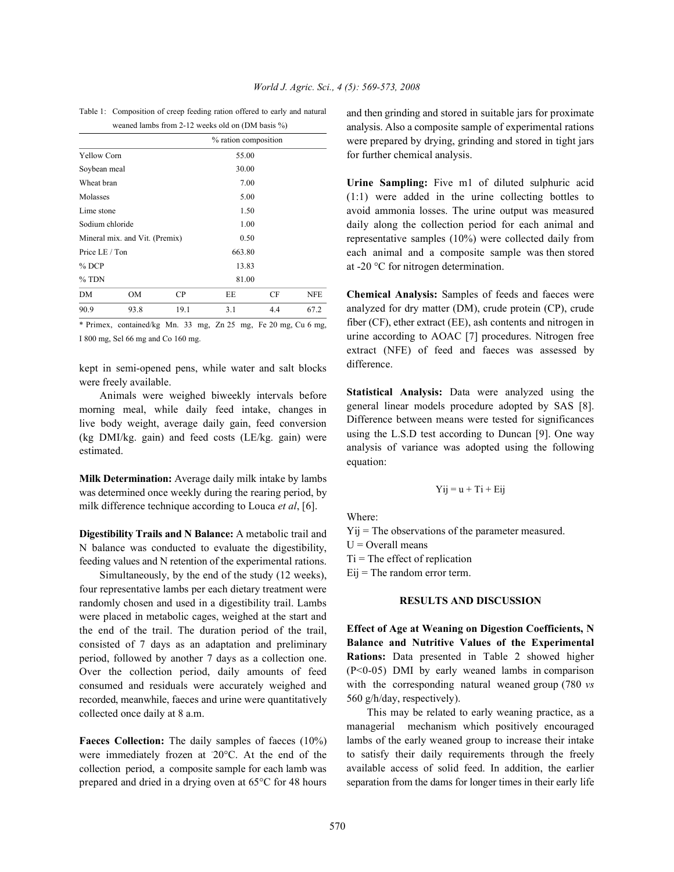Table 1: Composition of creep feeding ration offered to early and natural weaned lambs from 2-12 weeks old on (DM basis %)

| $\frac{1}{2}$                  |      |       |                      |     |            |
|--------------------------------|------|-------|----------------------|-----|------------|
|                                |      |       | % ration composition |     |            |
| <b>Yellow Corn</b>             |      |       | 55.00                |     |            |
| Soybean meal                   |      |       | 30.00                |     |            |
| Wheat bran                     |      |       | 7.00                 |     |            |
| Molasses                       |      |       | 5.00                 |     |            |
| Lime stone                     |      |       | 1.50                 |     |            |
| Sodium chloride                |      |       | 1.00                 |     |            |
| Mineral mix. and Vit. (Premix) |      |       | 0.50                 |     |            |
| Price LE / Ton                 |      |       | 663.80               |     |            |
| $%$ DCP                        |      | 13.83 |                      |     |            |
| $%$ TDN                        |      |       | 81.00                |     |            |
| DM                             | OM   | CP    | EE                   | CF  | <b>NFE</b> |
| 90.9                           | 93.8 | 19.1  | 3.1                  | 4.4 | 67.2       |
|                                |      |       |                      |     |            |

\* Primex, contained/kg Mn. 33 mg, Zn 25 mg, Fe 20 mg, Cu 6 mg, I 800 mg, Sel 66 mg and Co 160 mg.

kept in semi-opened pens, while water and salt blocks were freely available.

Animals were weighed biweekly intervals before morning meal, while daily feed intake, changes in live body weight, average daily gain, feed conversion (kg DMI/kg. gain) and feed costs (LE/kg. gain) were estimated.

**Milk Determination:** Average daily milk intake by lambs was determined once weekly during the rearing period, by milk difference technique according to Louca *et al*, [6].

**Digestibility Trails and N Balance:** A metabolic trail and N balance was conducted to evaluate the digestibility, feeding values and N retention of the experimental rations.

Simultaneously, by the end of the study (12 weeks), four representative lambs per each dietary treatment were randomly chosen and used in a digestibility trail. Lambs were placed in metabolic cages, weighed at the start and the end of the trail. The duration period of the trail, consisted of 7 days as an adaptation and preliminary period, followed by another 7 days as a collection one. Over the collection period, daily amounts of feed consumed and residuals were accurately weighed and recorded, meanwhile, faeces and urine were quantitatively collected once daily at 8 a.m.

**Faeces Collection:** The daily samples of faeces (10%) were immediately frozen at  $20^{\circ}$ C. At the end of the collection period, a composite sample for each lamb was prepared and dried in a drying oven at 65°C for 48 hours and then grinding and stored in suitable jars for proximate analysis. Also a composite sample of experimental rations were prepared by drying, grinding and stored in tight jars for further chemical analysis.

**Urine Sampling:** Five m1 of diluted sulphuric acid (1:1) were added in the urine collecting bottles to avoid ammonia losses. The urine output was measured daily along the collection period for each animal and representative samples (10%) were collected daily from each animal and a composite sample was then stored at -20 °C for nitrogen determination.

**Chemical Analysis:** Samples of feeds and faeces were analyzed for dry matter (DM), crude protein (CP), crude fiber (CF), ether extract (EE), ash contents and nitrogen in urine according to AOAC [7] procedures. Nitrogen free extract (NFE) of feed and faeces was assessed by difference.

**Statistical Analysis:** Data were analyzed using the general linear models procedure adopted by SAS [8]. Difference between means were tested for significances using the L.S.D test according to Duncan [9]. One way analysis of variance was adopted using the following equation:

$$
Yij = u + Ti + Eij
$$

Where:

Yij = The observations of the parameter measured.  $U =$ Overall means  $Ti = The effect of replication$  $Eij$  = The random error term.

## **RESULTS AND DISCUSSION**

**Effect of Age at Weaning on Digestion Coefficients, N Balance and Nutritive Values of the Experimental Rations:** Data presented in Table 2 showed higher (P<0-05) DMI by early weaned lambs in comparison with the corresponding natural weaned group (780 *vs* 560 g/h/day, respectively).

This may be related to early weaning practice, as a managerial mechanism which positively encouraged lambs of the early weaned group to increase their intake to satisfy their daily requirements through the freely available access of solid feed. In addition, the earlier separation from the dams for longer times in their early life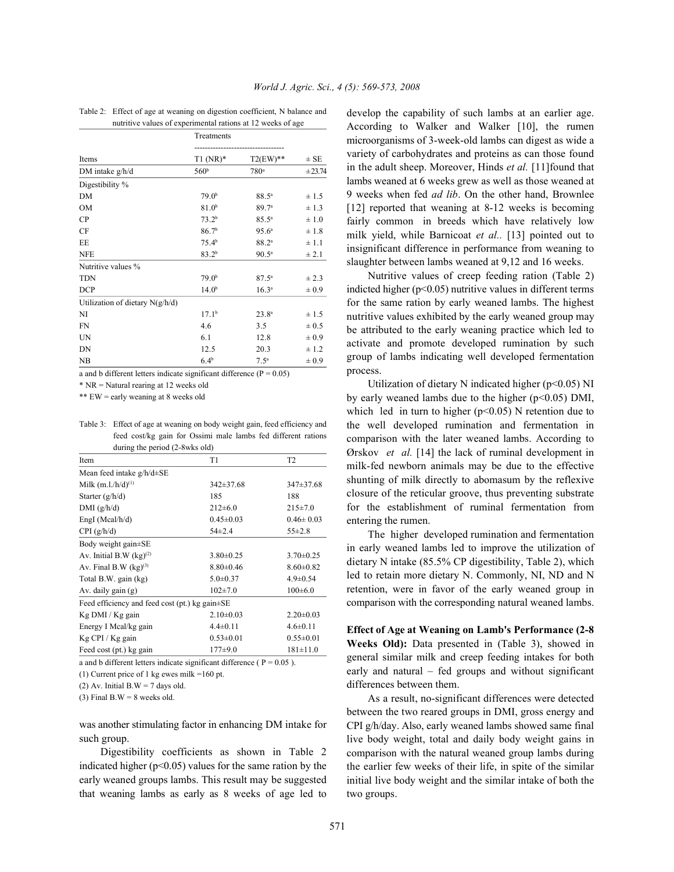| Table 2: Effect of age at weaning on digestion coefficient, N balance and |
|---------------------------------------------------------------------------|
| nutritive values of experimental rations at 12 weeks of age               |

|                                   | Treatments        |                                         |           |
|-----------------------------------|-------------------|-----------------------------------------|-----------|
| Items                             | $T1(NR)^*$        | ------------------------<br>$T2(EW)$ ** | $\pm$ SE  |
| DM intake $g/h/d$                 | 560 <sup>b</sup>  | 780 <sup>a</sup>                        | ± 23.74   |
| Digestibility %                   |                   |                                         |           |
| DM                                | 79.0 <sup>b</sup> | $88.5^{\circ}$                          | ± 1.5     |
| <b>OM</b>                         | 81.0 <sup>b</sup> | 89.7 <sup>a</sup>                       | $\pm$ 1.3 |
| CP                                | 73.2 <sup>b</sup> | $85.5^{\circ}$                          | ±1.0      |
| CF                                | 86.7 <sup>b</sup> | 95.6 <sup>a</sup>                       | ±1.8      |
| EE                                | 75.4 <sup>b</sup> | $88.2^{a}$                              | $\pm 1.1$ |
| <b>NFE</b>                        | $83.2^{b}$        | $90.5^{\circ}$                          | ± 2.1     |
| Nutritive values %                |                   |                                         |           |
| <b>TDN</b>                        | 79.0 <sup>b</sup> | $87.5^{\circ}$                          | ± 2.3     |
| <b>DCP</b>                        | 14.0 <sup>b</sup> | $16.3^{a}$                              | $\pm 0.9$ |
| Utilization of dietary $N(g/h/d)$ |                   |                                         |           |
| NI                                | 17.1 <sup>b</sup> | $23.8^{a}$                              | ± 1.5     |
| <b>FN</b>                         | 4.6               | 3.5                                     | $\pm 0.5$ |
| UN                                | 6.1               | 12.8                                    | $\pm 0.9$ |
| DN                                | 12.5              | 20.3                                    | ± 1.2     |
| NB                                | 6.4 <sup>b</sup>  | 7.5 <sup>a</sup>                        | $\pm 0.9$ |

a and b different letters indicate significant difference  $(P = 0.05)$ 

\* NR = Natural rearing at 12 weeks old

\*\* EW = early weaning at 8 weeks old

Table 3: Effect of age at weaning on body weight gain, feed efficiency and feed cost/kg gain for Ossimi male lambs fed different rations during the period (2-8wks old)

| Item                                                 | T1              | T <sub>2</sub>  |  |  |  |
|------------------------------------------------------|-----------------|-----------------|--|--|--|
| Mean feed intake $g/h/d\pm SE$                       |                 |                 |  |  |  |
| Milk $(m.l./h/d)^{(1)}$                              | $342 \pm 37.68$ | $347 \pm 37.68$ |  |  |  |
| Starter $(g/h/d)$                                    | 185             | 188             |  |  |  |
| DMI(g/h/d)                                           | $212\pm6.0$     | $215 \pm 7.0$   |  |  |  |
| EngI (Mcal/h/d)                                      | $0.45 \pm 0.03$ | $0.46 \pm 0.03$ |  |  |  |
| CPI(g/h/d)                                           | $54\pm2.4$      | $55\pm2.8$      |  |  |  |
| Body weight gain±SE                                  |                 |                 |  |  |  |
| Av. Initial B.W $(kg)^{(2)}$                         | $3.80 \pm 0.25$ | $3.70 \pm 0.25$ |  |  |  |
| Av. Final B.W $(kg)^{(3)}$                           | $8.80\pm0.46$   | $8.60 \pm 0.82$ |  |  |  |
| Total B.W. gain (kg)                                 | $5.0 \pm 0.37$  | $4.9 \pm 0.54$  |  |  |  |
| Av. daily gain $(g)$                                 | $102+7.0$       | $100+6.0$       |  |  |  |
| Feed efficiency and feed cost (pt.) kg gain $\pm$ SE |                 |                 |  |  |  |
| Kg DMI / Kg gain                                     | $2.10\pm0.03$   | $2.20 \pm 0.03$ |  |  |  |
| Energy I Mcal/kg gain                                | $4.4 \pm 0.11$  | $4.6 \pm 0.11$  |  |  |  |
| Kg CPI / Kg gain                                     | $0.53 \pm 0.01$ | $0.55 \pm 0.01$ |  |  |  |
| Feed cost (pt.) kg gain                              | $177+9.0$       | $181 \pm 11.0$  |  |  |  |
|                                                      |                 |                 |  |  |  |

a and b different letters indicate significant difference ( $P = 0.05$ ).

(1) Current price of 1 kg ewes milk =160 pt.

(2) Av. Initial B.W = 7 days old.

(3) Final B.W = 8 weeks old.

was another stimulating factor in enhancing DM intake for such group.

Digestibility coefficients as shown in Table 2 indicated higher  $(p<0.05)$  values for the same ration by the early weaned groups lambs. This result may be suggested that weaning lambs as early as 8 weeks of age led to develop the capability of such lambs at an earlier age. According to Walker and Walker [10], the rumen microorganisms of 3-week-old lambs can digest as wide a variety of carbohydrates and proteins as can those found in the adult sheep. Moreover, Hinds *et al.* [11]found that lambs weaned at 6 weeks grew as well as those weaned at 9 weeks when fed *ad lib*. On the other hand, Brownlee [12] reported that weaning at 8-12 weeks is becoming fairly common in breeds which have relatively low milk yield, while Barnicoat *et al..* [13] pointed out to insignificant difference in performance from weaning to slaughter between lambs weaned at 9,12 and 16 weeks.

Nutritive values of creep feeding ration (Table 2) indicted higher  $(p<0.05)$  nutritive values in different terms for the same ration by early weaned lambs. The highest nutritive values exhibited by the early weaned group may be attributed to the early weaning practice which led to activate and promote developed rumination by such group of lambs indicating well developed fermentation process.

Utilization of dietary N indicated higher ( $p<0.05$ ) NI by early weaned lambs due to the higher  $(p<0.05)$  DMI, which led in turn to higher  $(p<0.05)$  N retention due to the well developed rumination and fermentation in comparison with the later weaned lambs. According to Ørskov *et al.* [14] the lack of ruminal development in milk-fed newborn animals may be due to the effective shunting of milk directly to abomasum by the reflexive closure of the reticular groove, thus preventing substrate for the establishment of ruminal fermentation from entering the rumen.

The higher developed rumination and fermentation in early weaned lambs led to improve the utilization of dietary N intake (85.5% CP digestibility, Table 2), which led to retain more dietary N. Commonly, NI, ND and N retention, were in favor of the early weaned group in comparison with the corresponding natural weaned lambs.

**Effect of Age at Weaning on Lamb's Performance (2-8 Weeks Old):** Data presented in (Table 3), showed in general similar milk and creep feeding intakes for both early and natural – fed groups and without significant differences between them.

As a result, no-significant differences were detected between the two reared groups in DMI, gross energy and CPI g/h/day. Also, early weaned lambs showed same final live body weight, total and daily body weight gains in comparison with the natural weaned group lambs during the earlier few weeks of their life, in spite of the similar initial live body weight and the similar intake of both the two groups.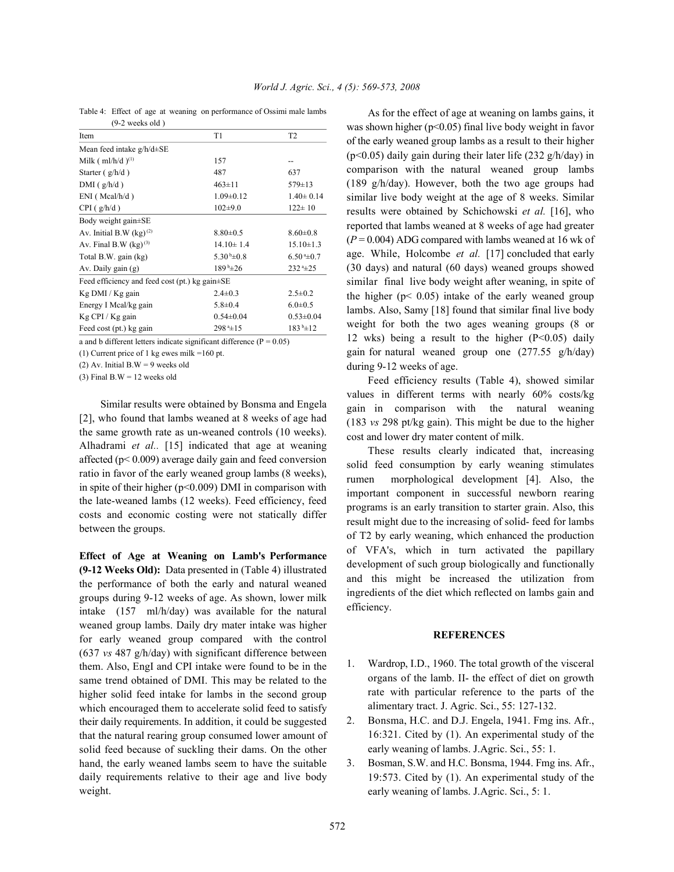Table 4: Effect of age at weaning on performance of Ossimi male lambs (9-2 weeks old )

| Item                                                 | T1                       | T <sub>2</sub>          |  |  |
|------------------------------------------------------|--------------------------|-------------------------|--|--|
| Mean feed intake $g/h/d \pm SE$                      |                          |                         |  |  |
| Milk $(ml/h/d)^{(1)}$                                | 157                      | --                      |  |  |
| Starter $(g/h/d)$                                    | 487                      | 637                     |  |  |
| $DMI$ (g/h/d)                                        | $463 \pm 11$             | $579 \pm 13$            |  |  |
| $ENI$ (Mcal/h/d)                                     | $1.09 \pm 0.12$          | $1.40 \pm 0.14$         |  |  |
| $CPI$ (g/h/d)                                        | $102+9.0$                | $122 \pm 10$            |  |  |
| Body weight gain±SE                                  |                          |                         |  |  |
| Av. Initial B.W $(kg)^{(2)}$                         | $8.80\pm0.5$             | $8.60 \pm 0.8$          |  |  |
| Av. Final B.W $(kg)^{(3)}$                           | $14.10 \pm 1.4$          | $15.10 \pm 1.3$         |  |  |
| Total B.W. gain (kg)                                 | $5.30\text{ h}\pm0.8$    | $6.50 \pm 0.7$          |  |  |
| Av. Daily gain (g)                                   | $189^{\mathrm{b}}\pm 26$ | $232 - 25$              |  |  |
| Feed efficiency and feed cost (pt.) kg gain $\pm$ SE |                          |                         |  |  |
| Kg DMI / Kg gain                                     | $2.4 \pm 0.3$            | $2.5 \pm 0.2$           |  |  |
| Energy I Mcal/kg gain                                | $5.8 \pm 0.4$            | $6.0 \pm 0.5$           |  |  |
| Kg CPI / Kg gain                                     | $0.54 \pm 0.04$          | $0.53 \pm 0.04$         |  |  |
| Feed cost (pt.) kg gain                              | $298^{\mathrm{a}}\pm15$  | $183^{\mathrm{b}}\pm12$ |  |  |

a and b different letters indicate significant difference ( $P = 0.05$ )

(1) Current price of 1 kg ewes milk =160 pt.

(2) Av. Initial  $B.W = 9$  weeks old

(3) Final B.W =  $12$  weeks old

Similar results were obtained by Bonsma and Engela [2], who found that lambs weaned at 8 weeks of age had the same growth rate as un-weaned controls (10 weeks). Alhadrami *et al..* [15] indicated that age at weaning affected (p< 0.009) average daily gain and feed conversion ratio in favor of the early weaned group lambs (8 weeks), in spite of their higher (p<0.009) DMI in comparison with the late-weaned lambs (12 weeks). Feed efficiency, feed costs and economic costing were not statically differ between the groups.

**Effect of Age at Weaning on Lamb's Performance (9-12 Weeks Old):** Data presented in (Table 4) illustrated the performance of both the early and natural weaned groups during 9-12 weeks of age. As shown, lower milk intake (157 ml/h/day) was available for the natural weaned group lambs. Daily dry mater intake was higher for early weaned group compared with the control (637 *vs* 487 g/h/day) with significant difference between them. Also, EngI and CPI intake were found to be in the same trend obtained of DMI. This may be related to the higher solid feed intake for lambs in the second group which encouraged them to accelerate solid feed to satisfy their daily requirements. In addition, it could be suggested that the natural rearing group consumed lower amount of solid feed because of suckling their dams. On the other hand, the early weaned lambs seem to have the suitable daily requirements relative to their age and live body weight.

As for the effect of age at weaning on lambs gains, it was shown higher (p<0.05) final live body weight in favor of the early weaned group lambs as a result to their higher (p<0.05) daily gain during their later life (232 g/h/day) in comparison with the natural weaned group lambs (189 g/h/day). However, both the two age groups had similar live body weight at the age of 8 weeks. Similar results were obtained by Schichowski *et al.* [16], who reported that lambs weaned at 8 weeks of age had greater  $(P = 0.004)$  ADG compared with lambs weaned at 16 wk of age. While, Holcombe *et al.* [17] concluded that early (30 days) and natural (60 days) weaned groups showed similar final live body weight after weaning, in spite of the higher ( $p < 0.05$ ) intake of the early weaned group lambs. Also, Samy [18] found that similar final live body weight for both the two ages weaning groups (8 or 12 wks) being a result to the higher  $(P<0.05)$  daily gain for natural weaned group one (277.55 g/h/day) during 9-12 weeks of age.

Feed efficiency results (Table 4), showed similar values in different terms with nearly 60% costs/kg gain in comparison with the natural weaning (183 *vs* 298 pt/kg gain). This might be due to the higher cost and lower dry mater content of milk.

These results clearly indicated that, increasing solid feed consumption by early weaning stimulates rumen morphological development [4]. Also, the important component in successful newborn rearing programs is an early transition to starter grain. Also, this result might due to the increasing of solid- feed for lambs of T2 by early weaning, which enhanced the production of VFA's, which in turn activated the papillary development of such group biologically and functionally and this might be increased the utilization from ingredients of the diet which reflected on lambs gain and efficiency.

### **REFERENCES**

- 1. Wardrop, I.D., 1960. The total growth of the visceral organs of the lamb. II- the effect of diet on growth rate with particular reference to the parts of the alimentary tract. J. Agric. Sci., 55: 127-132.
- 2. Bonsma, H.C. and D.J. Engela, 1941. Fmg ins. Afr., 16:321. Cited by (1). An experimental study of the early weaning of lambs. J.Agric. Sci., 55: 1.
- 3. Bosman, S.W. and H.C. Bonsma, 1944. Fmg ins. Afr., 19:573. Cited by (1). An experimental study of the early weaning of lambs. J.Agric. Sci., 5: 1.